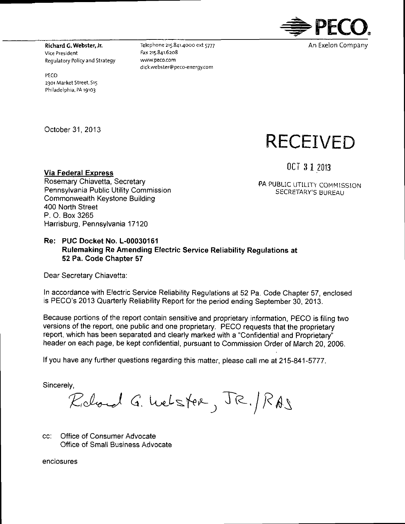

Richard C. Webster, Jr. Vice President Regulatory Policy and Strategy

Regulatory Policy and Strategy

PECO 2301 Market Street, Sis Philadelphia, PA 19103

Telephone 215.841.4000 ext 5777 Fax 215.841.6208 www.peco.com dick.webster@peco-eriergy.com

October 31, 2013

# **RECEIVED**

Via Federal Express  $0$ CT  $3$   $1$   $2013$ Rosemary Chiavetta, Secretary Pennsylvania Public Utility Commission SECRETARY'S BUREAU Commonwealth Keystone Building 400 North Street P. O. Box 3265 Harrisburg, Pennsylvania 17120

PA PUBLIC UTILITY COMMISSION

#### **Re: PUC Docket No. L-00030161 Rulemaking Re Amending Electric Service Reliability Regulations at 52 Pa. Code Chapter 57**

Dear Secretary Chiavetta:

In accordance with Electric Service Reliability Regulations at 52 Pa. Code Chapter 57, enclosed is PECO's 2013 Quarterly Reliability Report for the period ending September 30, 2013.

Because portions of the report contain sensitive and proprietary information, PECO is filing two versions of the report, one public and one proprietary. PECO requests that the proprietary report, which has been separated and clearly marked with a "Confidential and Proprietary" header on each page, be kept confidential, pursuant to Commission Order of March 20, 2006.

If you have any further questions regarding this matter, please call me at 215-841-5777.

Sincerely,

Richard G. Welster, JR. RAS

cc: Office of Consumer Advocate Office of Small Business Advocate

enclosures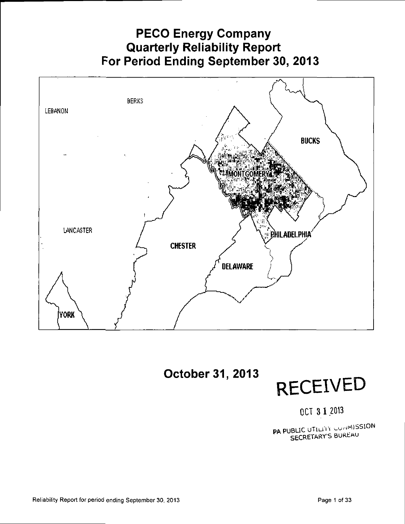## **PECO Energy Company Quarterly Reliability Report For Period Ending September 30, 2013**





OCT 3 1.2013

PA PUBLIC UTILITY COMMISSION SECRETARY'S BUREAU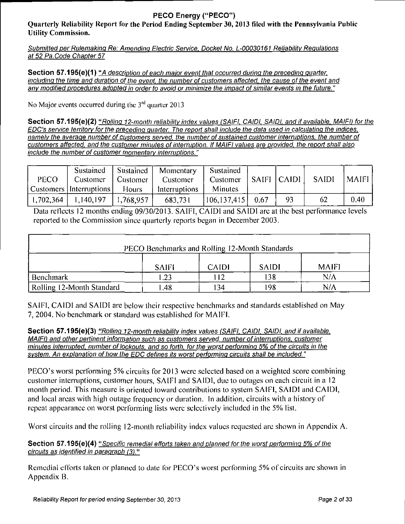#### **PECO Energy {"PECO")**

**Quarterly Reliability Report for the Period Ending September 30,2013 filed with the Pennsylvania Public Utility Commission.** 

Submitted per Rulemaking Re: Amending Electric Service. Docket No. L-00030161 Reliability Regulations at 52 Pa. Code Chapter 57

Section 57.195(e)(1) "A description of each major event that occurred during the preceding quarter. including the time and duration of the event, the number of customers affected, the cause of the event and anv modified procedures adopted in order to avoid or minimize the impact of similar events in the future."

No Major events occurred during the  $3<sup>rd</sup>$  quarter 2013

Section 57.195(e)(2) "Rolling 12-month reliability index values (SAIFI, CAIDI, SAIDI, and if available, MAIFI) for the EDC's service territory for the preceding guarter. The report shall include the data used in calculating the indices, namely the average number of customers served, the number of sustained customer interruptions, the number of customers affected, and the customer minutes of interruption. If MAIFI values are provided, the report shall also include the number of customer momentary interruptions."

| PECO      | Sustained<br>Customer<br>Customers   Interruptions | $\mid$ Customer<br><b>Hours</b> | Sustained   Momentary<br>Customer<br>Interruptions | Sustained<br>Customer   SAIFI   CAIDI  <br>Minutes |    | <b>SAIDI</b> | <b>MAIFI</b> |
|-----------|----------------------------------------------------|---------------------------------|----------------------------------------------------|----------------------------------------------------|----|--------------|--------------|
| 1,702,364 | 1,140,197                                          | 1,768,957                       | 683,731                                            | $ 106, 137, 415 $ 0.67                             | 93 | 62           | 0.40         |

Data reflects 12 months ending 09/30/2013. SAIFI, CAIDI and SAIDI are at the best performance levels reported to the Commission since quarterly reports began in December 2003.

| PECO Benchmarks and Rolling 12-Month Standards |              |              |              |              |  |  |  |  |  |
|------------------------------------------------|--------------|--------------|--------------|--------------|--|--|--|--|--|
|                                                | <b>SAIFI</b> | <b>CAIDI</b> | <b>SAIDI</b> | <b>MAIFI</b> |  |  |  |  |  |
| Benchmark                                      | .23          | 12           | 138          | $N/\Lambda$  |  |  |  |  |  |
| Rolling 12-Month Standard                      | .48          | 34           | 198          | N/A          |  |  |  |  |  |

SAIFI, CAIDI and SAIDI are below their respective benchmarks and standards established on May 7, 2004. No benchmark or standard was established for MAIFI.

Section 57.195(e)(3) "Rolling 12-month reliability index values (SAIFI, CAIDI, SAIDI, and if available. MAIFI) and other pertinent information such as customers served, number of interruptions, customer minutes interrupted, number of lockouts, and so forth, for the worst performing 5% of the circuits in the system. An explanation of how the EDC defines its worst performing circuits shall be included."

PECO's worst performing 5% circuits for 2013 were selected based on a weighted score combining customer inlcrruptions, customer hours, SAIFI and SAIDI, due to outages on each circuit in a 12 month period. This measure is oriented toward contributions to system SAIFI, SAIDI and CAIDI, and local areas with high outage frequency or duration. In addition, circuits with a history of repeat appearance on worst performing lists were selectively included in the 5% list.

Worst circuits and the rolling 12-month reliability index values requested are shown in Appendix A.

#### Section 57.195(e)(4) "Specific remedial efforts taken and planned for the worst performing 5% of the circuits as identified in paragraph (3)."

Remedial efforts taken or planned to date for PECO's worst performing 5% of circuits are shown in Appendix B.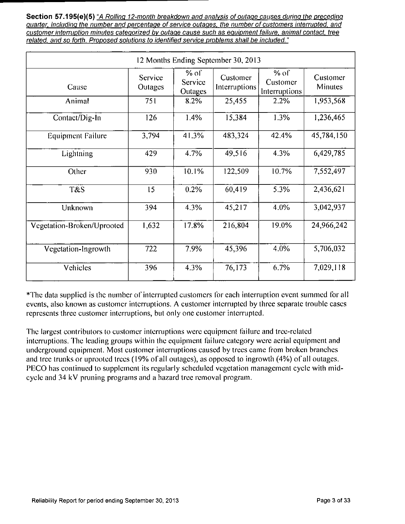Section 57.195(e)(5) "A Rolling 12-month breakdown and analysis of outage causes during the preceding quarter, including the number and percentage of service outages, the number of customers interrupted, and customer interruption minutes categorized by outage cause such as equipment failure, animal contact, tree related, and so forth. Proposed solutions to identified service problems shall be included."

| 12 Months Ending September 30, 2013 |                    |                              |                           |                                     |                     |  |  |  |  |  |
|-------------------------------------|--------------------|------------------------------|---------------------------|-------------------------------------|---------------------|--|--|--|--|--|
| Cause                               | Service<br>Outages | $%$ of<br>Service<br>Outages | Customer<br>Interruptions | $%$ of<br>Customer<br>Interruptions | Customer<br>Minutes |  |  |  |  |  |
| Animal                              | 751                | 8.2%                         | 25,455                    | 2.2%                                | 1,953,568           |  |  |  |  |  |
| Contact/Dig-In                      | 126                | 1.4%                         | 15,384                    | 1.3%                                | 1,236,465           |  |  |  |  |  |
| <b>Equipment Failure</b>            | 3,794              | 41.3%                        | 483.324                   | 42.4%                               | 45,784,150          |  |  |  |  |  |
| Lightning                           | 429                | 4.7%                         | 49,516                    | 4.3%                                | 6,429,785           |  |  |  |  |  |
| Other                               | 930                | 10.1%                        | 122,509                   | 10.7%                               | 7,552,497           |  |  |  |  |  |
| T&S                                 | 15                 | 0.2%                         | 60,419                    | 5.3%                                | 2,436.621           |  |  |  |  |  |
| Unknown                             | 394                | 4.3%                         | 45,217                    | 4.0%                                | 3,042,937           |  |  |  |  |  |
| Vegetation-Broken/Uprooted          | 1,632              | 17.8%                        | 216,804                   | 19.0%                               | 24,966,242          |  |  |  |  |  |
| Vegetation-Ingrowth                 | 722                | 7.9%                         | 45,396                    | 4.0%                                | 5,706.032           |  |  |  |  |  |
| Vehicles                            | 396                | 4.3%                         | 76,173                    | 6.7%                                | 7,029,118           |  |  |  |  |  |

The data supplied is lhe number of interrupted customers for each interruption event summed for all events, also known as customer interruptions. A customer interrupted by three separate trouble cases represents three customer interruptions, but only one cuslomer interrupled.

The largest contributors to customer interruptions were equipment failure and tree-rclaled interruptions. The leading groups within the equipment failure category were aerial equipment and underground equipment. Most cuslomer interruptions caused by trees came from broken branches and tree trunks or uprooted trees (19% of all outages), as opposed to ingrowth (4%) of all outages. PECO has continued to supplement its regularly scheduled vegetation management cycle with midcycle and 34 kV pruning programs and a hazard tree removal program.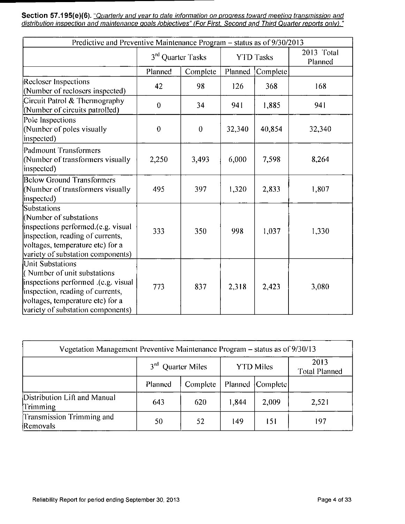Section 57.195(e)(6). <u>"Quarterly and year to date information on progress toward meeting transmission and</u> distribution inspection and maintenance goals /objectives" (For First. Second and Third Quarter reports only)."

| Predictive and Preventive Maintenance Program - status as of 9/30/2013                                                                                                                                     |                               |          |                  |          |                       |  |  |  |  |
|------------------------------------------------------------------------------------------------------------------------------------------------------------------------------------------------------------|-------------------------------|----------|------------------|----------|-----------------------|--|--|--|--|
|                                                                                                                                                                                                            | 3 <sup>rd</sup> Quarter Tasks |          | <b>YTD Tasks</b> |          | 2013 Total<br>Planned |  |  |  |  |
|                                                                                                                                                                                                            | Planned                       | Complete | Planned          | Complete |                       |  |  |  |  |
| <b>Recloser Inspections</b><br>(Number of reclosers inspected)                                                                                                                                             | 42                            | 98       | 126              | 368      | 168                   |  |  |  |  |
| Circuit Patrol & Thermography<br>(Number of circuits patrolled)                                                                                                                                            | $\theta$                      | 34       | 941              | 1,885    | 941                   |  |  |  |  |
| Pole Inspections<br>(Number of poles visually<br>inspected)                                                                                                                                                | $\theta$                      | $\theta$ | 32,340           | 40,854   | 32,340                |  |  |  |  |
| Padmount Transformers<br>(Number of transformers visually<br>inspected)                                                                                                                                    | 2,250                         | 3,493    | 6,000            | 7,598    | 8,264                 |  |  |  |  |
| <b>Below Ground Transformers</b><br>(Number of transformers visually<br>inspected)                                                                                                                         | 495                           | 397      | 1,320            | 2,833    | 1,807                 |  |  |  |  |
| Substations<br>(Number of substations<br>inspections performed.(e.g. visual<br>inspection, reading of currents,<br>voltages, temperature etc) for a<br>variety of substation components)                   | 333                           | 350      | 998              | 1,037    | 1,330                 |  |  |  |  |
| <b>Unit Substations</b><br>(Number of unit substations<br>inspections performed .(e.g. visual<br>inspection, reading of currents,<br>voltages, temperature etc) for a<br>variety of substation components) | 773                           | 837      | 2,318            | 2,423    | 3,080                 |  |  |  |  |

| Vegetation Management Preventive Maintenance Program – status as of 9/30/13 |              |                      |       |                    |                              |  |  |  |  |
|-----------------------------------------------------------------------------|--------------|----------------------|-------|--------------------|------------------------------|--|--|--|--|
|                                                                             | $3^{\rm rd}$ | <b>Quarter Miles</b> |       | <b>YTD Miles</b>   | 2013<br><b>Total Planned</b> |  |  |  |  |
|                                                                             | Planned      | Complete             |       | Planned [Complete] |                              |  |  |  |  |
| Distribution Lift and Manual<br>Trimming                                    | 643          | 620                  | 1,844 | 2,009              | 2,521                        |  |  |  |  |
| Transmission Trimming and<br><b>Removals</b>                                | 50           | 52                   | 149   | 151                | 197                          |  |  |  |  |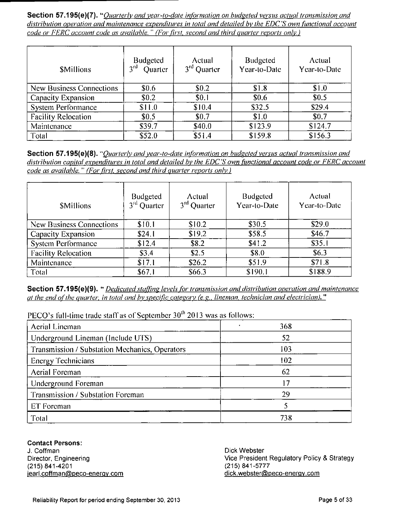Section 57.195(e)(7). "Ouarterly and year-to-date information on budgeted versus actual transmission and distribution operation and maintenance expenditures in total and detailed by the EDC'S own functional account code or FERC account code as available." (For first, second and third quarter reports only.)

| <b>SMillions</b>           | <b>Budgeted</b><br>$3^{\text{rd}}$<br>Quarter | Actual<br>3rd Quarter | Budgeted<br>Year-to-Date | Actual<br>Year-to-Date |
|----------------------------|-----------------------------------------------|-----------------------|--------------------------|------------------------|
| New Business Connections   | \$0.6                                         | \$0.2                 | \$1.8                    | \$1.0                  |
| <b>Capacity Expansion</b>  | \$0.2                                         | \$0.1                 | \$0.6                    | \$0.5                  |
| System Performance         | \$11.0                                        | \$10.4                | \$32.5                   | \$29.4                 |
| <b>Facility Relocation</b> | \$0.5                                         | \$0.7                 | \$1.0                    | \$0.7                  |
| Maintenance                | \$39.7                                        | \$40.0                | \$123.9                  | \$124.7                |
| Total                      | \$52.0                                        | \$51.4                | \$159.8                  | \$156.3                |

Section 57.195(e)(8). "Quarterly and year-to-date information on budgeted versus actual transmission and distribution capital expenditures in total and detailed by the EDC'S own functional account code or FERC account code as available." (For first, second and third quarter reports only.)

| <b>SMillions</b>           | <b>Budgeted</b><br>3 <sup>rd</sup> Quarter | Actual<br>3rd Quarter | <b>Budgeted</b><br>Year-to-Date | Actual<br>Year-to-Date |
|----------------------------|--------------------------------------------|-----------------------|---------------------------------|------------------------|
| New Business Connections   | \$10.1                                     | \$10.2                | \$30.5                          | \$29.0                 |
| Capacity Expansion         | \$24.1                                     | \$19.2                | \$58.5                          | \$46.7                 |
| <b>System Performance</b>  | \$12.4                                     | \$8.2                 | \$41.2                          | \$35.1                 |
| <b>Facility Relocation</b> | \$3.4                                      | \$2.5                 | \$8.0                           | \$6.3                  |
| Maintenance                | \$17.1                                     | \$26.2                | \$51.9                          | \$71.8                 |
| Total                      | \$67.1                                     | \$66.3                | \$190.1                         | \$188.9                |

Section 57.195(e)(9). " *Dedicated staffing levels for transmission and distribution operation and maintenance* at the end of the quarter, in total and by specific category (e.g., lineman, technician and electrician)."

PECO's full-time trade staff as of September 30<sup>th</sup> 2013 was as follows:

| Aerial Lineman                                 | 368 |
|------------------------------------------------|-----|
| Underground Lineman (Include UTS)              | 52  |
| Transmission / Substation Mechanics, Operators | 103 |
| <b>Energy Technicians</b>                      | 102 |
| Aerial Foreman                                 | 62  |
| Underground Foreman                            | 17  |
| Transmission / Substation Foreman              | 29  |
| ET Foreman                                     |     |
| Total                                          | 738 |

**Contact Persons:** 

J. Coffman Director, Engineering (215) 841-4201 iearl.coffman@peco-enerqv.com Dick Webster Vice President Regulatory Policy & Strategy (215) 841-5777 dick.webster@peco-energy.com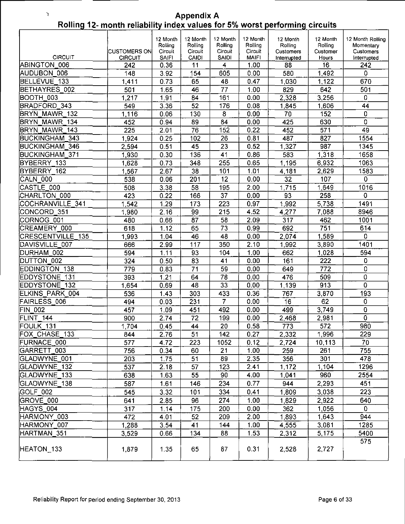**Rolling 12- month reliabi Appendix A** 

 $\mathfrak I$ 

|                          | <b>CUSTOMERS ON</b> | 12 Month<br>Rolling<br>Circuit | 12 Month<br>Rolling<br>Circuit | 12 Month<br>Rolling<br>Circuit | 12 Month<br>Rolling<br>Circuit | 12 Month<br>Rolling<br>Customers | 12 Month<br>Rolling<br>Customer | 12 Month Rolling<br>Momentary<br>Customers |
|--------------------------|---------------------|--------------------------------|--------------------------------|--------------------------------|--------------------------------|----------------------------------|---------------------------------|--------------------------------------------|
| <b>CIRCUIT</b>           | <b>CIRCUIT</b>      | <b>SAIF1</b>                   | CAIDI                          | SAIDI                          | <b>MAIFI</b>                   | Interrupted                      | Hours                           | Interrupted                                |
| ABINGTON 006             | 242                 | 0.36                           | 11                             | 4                              | 1.00                           | 88                               | 16                              | 242                                        |
| AUDUBON 006              | 148                 | 3.92                           | 154                            | 605                            | 0.00                           | 580                              | 1,492                           | 0                                          |
| BELLEVUE 133             | 1,411               | 0.73                           | 65                             | 48                             | 0.47                           | 1.030                            | 1,122                           | 670                                        |
| BETHAYRES 002            | 501                 | 1.65                           | 46                             | 77                             | 1.00                           | 829                              | 642                             | 501                                        |
| BOOTH 003                | 1,217               | 1.91                           | 84                             | 161                            | 0.00                           | 2.328                            | 3,256                           | $\overline{0}$                             |
| BRADFORD 343             | 549                 | 3.36                           | $\overline{52}$                | 176                            | 0.08                           | 1.845                            | 1,606                           | 44                                         |
| BRYN MAWR 132            | 1,116               | 0.06                           | 130                            | $\overline{8}$                 | 0.00                           | 70                               | 152                             | 0                                          |
| BRYN MAWR 134            | 452                 | 0.94                           | 89                             | $\overline{84}$                | 0.00                           | 425                              | 630                             | $\overline{0}$                             |
| <b>BRYN MAWR</b><br>143  | 225                 | 2.01                           | $\overline{76}$                | 152                            | 0.22                           | 452                              | 571                             | 49                                         |
| <b>BUCKINGHAM</b><br>343 | 1,924               | 0.25                           | 102                            | 26                             | 0.81                           | 487                              | 827                             | 1554                                       |
| <b>BUCKINGHAM</b><br>346 | 2,594               | 0.51                           | 45                             | 23                             | 0.52                           | 1.327                            | 987                             | 1345                                       |
| <b>BUCKINGHAM 371</b>    | 1,930               | 0.30                           | 136                            | 41                             | 0.86                           | 583                              | 1,318                           | 1658                                       |
| BYBERRY 133              | 1,628               | 0.73                           | 348                            | 255                            | 0.65                           | 1.195                            | 6,932                           | 1063                                       |
| BYBERRY 162              | 1,567               | 2.67                           | 38                             | 101                            | 1.01                           | 4,181                            | 2,629                           | 1583                                       |
| CALN 000                 | 538                 | 0.06                           | 201                            | 12                             | 0.00                           | 32                               | 107                             | $\mathbf 0$                                |
| CASTLE 000               | 508                 | 3.38                           | 58                             | 195                            | 2.00                           | 1.715                            | 1,649                           | 1016                                       |
| CHARLTON 000             | 423                 | 0.22                           | 166                            | 37                             | 0.00                           | 93                               | 258                             | 0                                          |
| COCHRANVILLE 341         | 1.542               | 1.29                           | 173                            | 223                            | 0.97                           | 1.992                            | 5,738                           | 1491                                       |
| CONCORD_351              | 1,980               | 2.16                           | 99                             | 215                            | 4.52                           | 4.277                            | 7,088                           | 8946                                       |
| CORNOG 001               | 480                 | 0.66                           | 87                             | 58                             | 2.09                           | 317                              | 462                             | 1001                                       |
| CREAMERY_000             | 618                 | 1.12                           | 65                             | 73                             | 0.99                           | 692                              | 751                             | 614                                        |
| <b>CRESCENTVILLE 135</b> | 1,993               | 1.04                           | 46                             | 48                             | 0.00                           | 2.074                            | 1,589                           | 0                                          |
| DAVISVILLE_007           | 666                 | 2.99                           | 117                            | 350                            | 2.10                           | 1.992                            | 3,890                           | 1401                                       |
| DURHAM 002               | 594                 | 1.11                           | 93                             | 104                            | 1.00                           | 662                              | 1,028                           | 594                                        |
| DUTTON 002               | 324                 | 0.50                           | 83                             | 41                             | 0.00                           | 161                              | 222                             | 0                                          |
| <b>EDDINGTON 138</b>     | 779                 | 0.83                           | 71                             | 59                             | 0.00                           | 649                              | 772                             | 0                                          |
| EDDYSTONE 131            | 393                 | 1.21                           | 64                             | 78                             | 0.00                           | 476                              | 509                             | 0                                          |
| <b>EDDYSTONE 132</b>     | 1,654               | 0.69                           | 48                             | $\overline{33}$                | 0.00                           | 1.139                            | 913                             | $\overline{0}$                             |
| ELKINS PARK 004          | 536                 | 1.43                           | 303                            | 433                            | 0.36                           | 767                              | 3,870                           | 193                                        |
| FAIRLESS 006             | 494                 | 0.03                           | 231                            | $\overline{\mathbf{7}}$        | 0.00                           | 16                               | 62                              | Ó                                          |
| <b>FIN 002</b>           | 457                 | 1.09                           | 451                            | 492                            | 0.00                           | 499                              | 3,749                           | $\pmb{0}$                                  |
| FLINT 144                | 900                 | 2.74                           | $\overline{72}$                | 199                            | 0.00                           | 2 4 6 8                          | 2,981                           | $\overline{0}$                             |
| FOULK_131                | 1,704               | 0.45                           | 44                             | 20                             | 0.58                           | 773                              | 572                             | 980                                        |
| FOX_CHASE_133            | 844                 | 2.76                           | 51                             | 142                            | 0.27                           | 2.332                            | 1,996                           | 229                                        |
| FURNACE 000              | 577                 | 4.72                           | 223                            | 1052                           | 0.12                           | 2,724                            | 10,113                          | 70                                         |
| GARRETT 003              | 756                 | 0.34                           | 60                             | 21                             | 1.00                           | 259                              | 261                             | 755                                        |
| GLADWYNE 001             | 203                 | 1.75                           | 51                             | 89                             | 2.35                           | 356                              | 301                             | 478                                        |
| GLADWYNE_132             | 537                 | 2.18                           | 57                             | 123                            | 2.41                           | 1,172                            | 1,104                           | 1296                                       |
| GLADWYNE 133             | 638                 | 1.63                           | 55                             | 90                             | 4.00                           | 1,041                            | 960                             | 2554                                       |
| GLADWYNE 138             | 587                 | 1.61                           | 146                            | 234                            | 0.77                           | 944                              | 2,293                           | 451                                        |
| GOLF 002                 | 545                 | 3.32                           | 101                            | 334                            | 0.41                           | 1,809                            | 3,038                           | 223                                        |
| GROVE_000                | 641                 | 2.85                           | 96                             | 274                            | 1.00                           | 1.829                            | 2,922                           | 640                                        |
| HAGYS_004                | 317                 | 1.14                           | 175                            | 200                            | 0.00                           | 362                              | 1,056                           | 0                                          |
| HARMONY_003              | 472                 | 4.01                           | 52                             | 209                            | 2.00                           | 1,893                            | 1,643                           | 944                                        |
| HARMONY 007              | 1,288               | 3.54                           | 41                             | 144                            | 1.00                           | 4.555                            | 3,081                           | 1285                                       |
| HARTMAN 351              | 3,529               | 0.66                           | 134                            | 88                             | 1.53                           | 2,312                            | 5,175                           | 5400                                       |
|                          |                     |                                |                                |                                |                                |                                  |                                 | 575                                        |
| HEATON_133               | 1,879               | 1.35                           | 65                             | 87                             | 0.31                           | 2 5 2 8                          | 2,727                           |                                            |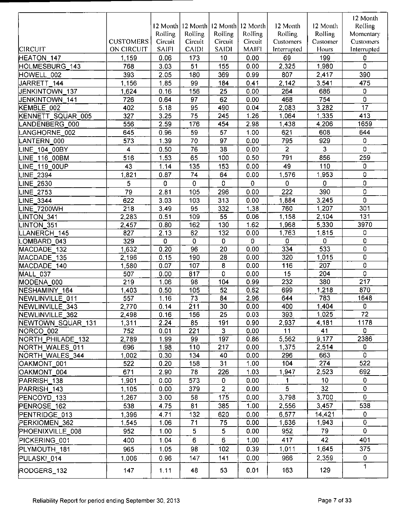|                            |                  |              |                     |                 |              |                  |                 | 12 Month         |
|----------------------------|------------------|--------------|---------------------|-----------------|--------------|------------------|-----------------|------------------|
|                            |                  |              | 12 Month   12 Month | 12 Month        | 12 Month     | 12 Month         | 12 Month        | Rolling          |
|                            |                  | Rolling      | Rolling             | Rolling         | Rolling      | Rolling          | Rolling         | Momentary        |
|                            | <b>CUSTOMERS</b> | Circuit      | Circuit             | Circuit         | Circuit      | <b>Customers</b> | Customer        | Customers        |
| <b>CIRCUIT</b>             | ON CIRCUIT       | <b>SAIFI</b> | <b>CAIDI</b>        | <b>SAIDI</b>    | <b>MAIFI</b> | Interrupted      | Hours           | Interrupted      |
| HEATON 147                 | 1,159            | 0.06         | 173                 | 10              | 0.00         | 69               | 199             | 0                |
| HOLMESBURG_143             | 768              | 3.03         | 51                  | 155             | 0.00         | 2,325            | 1,980           | 0                |
| HOWELL 002                 | 393              | 2.05         | 180                 | 369             | 0.99         | 807              | 2,417           | 390              |
| JARRETT 144                | 1,156            | 1.85         | 99                  | 184             | 0.41         | 2.142            | 3,541           | 475              |
| JENKINTOWN 137             | 1,624            | 0.16         | 156                 | $\overline{25}$ | 0.00         | 264              | 686             | 0                |
| JENKINTOWN 141             | 726              | 0.64         | 97                  | 62              | 0.00         | 468              | 754             | 0                |
| KEMBLE_002                 | 402              | 5.18         | 95                  | 490             | 0.04         | 2,083            | 3,282           | $\overline{17}$  |
| KENNETT SQUAR_005          | 327              | 3.25         | $\overline{75}$     | 245             | 1.26         | 1,064            | 1.335           | 413              |
| LANDENBERG_000             | 556              | 2.59         | 176                 | 454             | 2.98         | 1.438            | 4 206           | 1659             |
| ANGHORNE 002               | 645              | 0.96         | 59                  | 57              | 1.00         | 621              | 608             | 644              |
| LANTERN 000                | 573              | 1.39         | 70                  | 97              | 0.00         | 795              | 929             | 0                |
| LINE 104 00BY              | 4                | 0.50         | 76                  | 38              | 0.00         | 2                | 3               | 0                |
| LINE 116 00BM              | 516              | 1.53         | 65                  | 100             | 0.50         | 791              | 856             | 259              |
| LINE 119 00UP              | 43               | 1.14         | 135                 | 153             | 0.00         | 49               | 110             | 0                |
| LINE_2394                  | 1,821            | 0.87         | 74                  | 64              | 0.00         | 1,576            | 1953            | 0                |
|                            | 5                | 0            | $\mathbf 0$         | 0               | 0            | 0                | 0               | 0                |
| <b>LINE 2630</b>           |                  |              |                     |                 |              |                  |                 |                  |
| LINE_2753                  | 79               | 2.81         | 105                 | 296             | 0.00         | 222              | 390             | 0                |
| LINE_3344                  | 622              | 3.03         | 103                 | 313             | 0.00         | 1,884            | 3,245           | 0                |
| LINE_7200WH                | 218              | 3.49         | 95                  | 332             | 1.38         | 760              | 1,207           | 301              |
| LINTON 341                 | 2,283            | 0.51         | 109                 | 55              | 0.06         | 1,158            | 2,104           | $\overline{131}$ |
| LINTON 351                 | 2,457            | 0.80         | 162                 | 130             | 1.62         | 1,968            | 5.330           | 3970             |
| LANERCH_145                | 827              | 2.13         | 62                  | 132             | 0.00         | 1,763            | 1815            | 0                |
| OMBARD 043                 | 329              | 0            | $\overline{0}$      | $\mathbf 0$     | 0            | 0                | 0               | 0                |
| MACDADE 132                | 1,632            | 0.20         | 96                  | $\overline{20}$ | 0.00         | 334              | 533             | 0                |
| MACDADE_135                | 2,196            | 0.15         | 190                 | 28              | 0.00         | 320              | 1,015           | 0                |
| MACDADE 140                | 1,580            | 0.07         | 107                 | $\bf 8$         | 0.00         | 116              | 207             | 0                |
| MALL 037                   | 507              | 0.00         | 817                 | 0               | 0.00         | 15               | 204             | 0                |
| MODENA_000                 | 219              | 1.06         | 98                  | 104             | 0.99         | 232              | 380             | 217              |
| NESHAMINY 164              | 1,403            | 0.50         | 105                 | 52              | 0.62         | 699              | 1,218           | 870              |
| NEWLINVILLE 011            | 557              | 1.16         | 73                  | 84              | 2.96         | 644              | 783             | 1648             |
| NEWLINVILLE <sub>343</sub> | 2,770            | 0.14         | 211                 | 30              | 0.00         | 400              | 1,404           | 0                |
| NEWLINVILLE_362            | 2,498            | 0.16         | 156                 | 25              | 0.03         | 393              | 1,025           | 72               |
| NEWTOWN SQUAR 131          | 1,311            | 2.24         | 85                  | 191             | 0.90         | 2.937            | 4 181           | 1178             |
| NORCO 002                  | 752              | 0.01         | 221                 | 3               | 0.00         | 11               | 41              | 0                |
| NORTH_PHILADE_132          | 2,789            | 1.99         | 99                  | 197             | 0.86         | 5,562            | 9,177           | 2386             |
| NORTH WALES 011            | 696              | 1.98         | 110                 | 217             | 0.00         | 1,375            | 2,514           | 0                |
| NORTH WALES 344            | 1,002            | 0.30         | 134                 | 40              | 0.00         | 296              | 663             | 0                |
| OAKMONT 001                | 522              | 0.20         | 158                 | 31              | 1.00         | 104              | 274             | 522              |
| OAKMONT 004                | 671              | 2.90         | 78                  | 226             | 1.03         | 1947             | 2,523           | 692              |
| PARRISH 138                | 1,901            | 0.00         | 573                 | $\mathbf 0$     | 0.00         | 1                | 10 <sub>1</sub> | 0                |
| PARRISH 143                | 1,105            | 0.00         | 379                 | $\overline{2}$  | 0.00         | 5                | 32              | 0                |
| PENCOYD 133                | 1,267            | 3.00         | 58                  | 175             | 0.00         | 3,798            | 3,700           | 0                |
| PENROSE 162                | 538              | 4.75         | 81                  | 385             | 1.00         | 2.556            | 3.457           | 538              |
| PENTRIDGE_013              | 1,396            | 4.71         | 132                 | 620             | 0.00         | 6,577            | 14,421          | 0                |
| PERKIOMEN_362              | 1,545            | 1.06         | 71                  | 75              | 0.00         | 1,636            | 1,943           | 0                |
| PHOENIXVILLE 008           | 952              | 1.00         | 5                   | 5               | 0.00         | 952              | 79              | 0                |
| PICKERING 001              | 400              | 1.04         | 6                   | 6               | 1.00         | 417              | 42              | 401              |
| PLYMOUTH 181               | 965              | 1.05         | 98                  | 102             | 0.39         | 1,011            | 1,645           | 375              |
| PULASKI_014                | 1,006            | 0.96         | 147                 | 141             | 0.00         | 966              | 2,359           | 0                |
|                            |                  |              |                     |                 |              |                  |                 | 1                |
| RODGERS_132                | 147              | 1.11         | 48                  | 53              | 0.01         | 163              | 129             |                  |
|                            |                  |              |                     |                 |              |                  |                 |                  |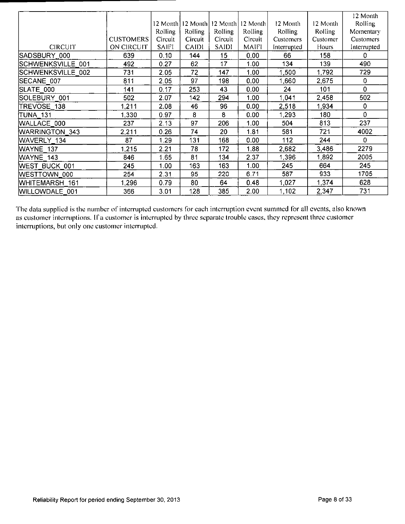|                   |                  |              |              |              |                |             |                | 12 Month       |
|-------------------|------------------|--------------|--------------|--------------|----------------|-------------|----------------|----------------|
|                   |                  | 12 Month]    | 12 Month1    | 12 Month     | 12 Month       | 12 Month    | 12 Month       | <b>Rolling</b> |
|                   |                  | Rolling      | Rolling      | Rolling      | <b>Rolling</b> | Rolling     | <b>Rolling</b> | Momentary      |
|                   | <b>CUSTOMERS</b> | Circuit      | Circuit      | Circuit      | Circuit        | Customers   | Customer       | Customers      |
| <b>CIRCUIT</b>    | ON CIRCUIT       | <b>SAIFI</b> | <b>CAIDI</b> | <b>SAIDI</b> | MAIFI          | Interrupted | <b>Hours</b>   | Interrupted    |
| SADSBURY 000      | 639              | 0.10         | 144          | 15           | 0.00           | 66          | 158            | 0              |
| SCHWENKSVILLE 001 | 492              | 0.27         | 62           | 17           | 1.00           | 134         | 139            | 490            |
| SCHWENKSVILLE 002 | 731              | 2.05         | 72           | 147          | 1.00           | 1,500       | 1.792          | 729            |
| SECANE 007        | 811              | 2.05         | 97           | 198          | 0.00           | 1,660       | 2.675          | 0              |
| SLATE 000         | 141              | 0.17         | 253          | 43           | 0.00           | 24          | 101            | 0              |
| SOLEBURY 001      | 502              | 2.07         | 142          | 294          | 1.00           | 1,041       | 2.458          | 502            |
| TREVOSE 138       | 1,211            | 2.08         | 46           | 96           | 0.00           | 2,518       | 1.934          | 0              |
| <b>TUNA 131</b>   | 1,330            | 0.97         | 8            | 8            | 0.00           | 1 293       | 180            | 0              |
| WALLACE 000       | 237              | 2.13         | 97           | 206          | 1.00           | 504         | 813            | 237            |
| WARRINGTON 343    | 2,211            | 0.26         | 74           | 20           | 1.81           | 581         | 721            | 4002           |
| WAVERLY 134       | 87               | 1.29         | 131          | 168          | 0.00           | 112         | 244            | 0              |
| WAYNE 137         | 1,215            | 2.21         | 78           | 172          | 1.88           | 2,682       | 3,486          | 2279           |
| WAYNE 143         | 846              | 1.65         | 81           | 134          | 2.37           | 1.396       | 1.892          | 2005           |
| WEST BUCK 001     | 245              | 1.00         | 163          | 163          | 1.00           | 245         | 664            | 245            |
| WESTTOWN 000      | 254              | 2.31         | 95           | 220          | 6.71           | 587         | 933            | 1705           |
| WHITEMARSH 161    | 1,296            | 0.79         | 80           | 64           | 0.48           | 1.027       | 1 374          | 628            |
| WILLOWDALE 001    | 366              | 3.01         | 128          | 385          | 2.00           | 1,102       | 2.347          | 731            |

The data supplied is the number of interrupted customers for each interruption event summed for all events, also known as customer interruptions. If a customer is interrupted by three separate trouble cases, they represent three customer interruptions, but only one customer interrupted.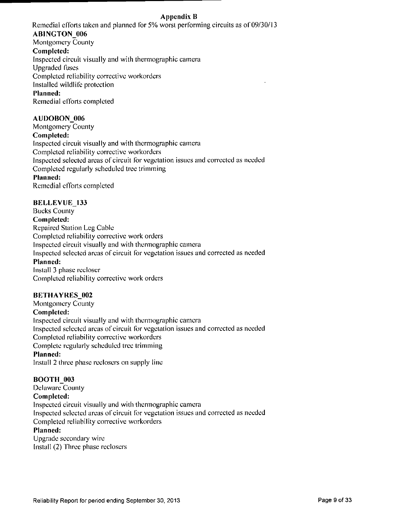#### *Appendix li*

Remedial efforts taken and planned for 5% worst performing circuits as of 09/30/13 **AB1NGTON\_006**  Montgomery County **Completed:**  Inspected circuit visually and with thermographic camera

Upgraded fuses

Completed reliability corrective workordcrs

Installed wildlife protection

#### **Planned:**

Remedial efforts completed

#### **AUDOBON\_006**

**Montgomery County Completed:**  Inspected circuil visually and with thermographic camera Completed reliability corrective workordcrs Inspected selected areas of circuit for vegetation issues and corrected as needed Completed regularly scheduled tree trimming **Planned:**  Remedial efforts completed

#### **BELLEVUE** 133

**Bucks County Completed:**  Repaired Station Leg Cable Completed reliability corrective work orders Inspected circuit visually and with thermographic camera Inspected selected areas of circuit for vegetation issues and corrected as needed **Planned:**  Install 3 phase recloser Completed reliability corrective work orders

#### **BETHAYRES\_002**

**Montgomery County Completed:**  Inspected circuit visually and with thermographic camera Inspected selected areas of circuit for vegetalion issues and corrected as needed Completed reliability corrective workorders Complete regularly scheduled tree trimming **Planned:** 

Install 2 three phase reclosers on supply line

#### **BOOTH 003**

**Delaware County Completed:**  Inspected circuit visually and with thermographic camera Inspected selected areas of circuit for vegetalion issues and corrected as needed Completed reliability corrective workordcrs **Planned:** 

Upgrade secondary wire Install (2) Three phase reclosers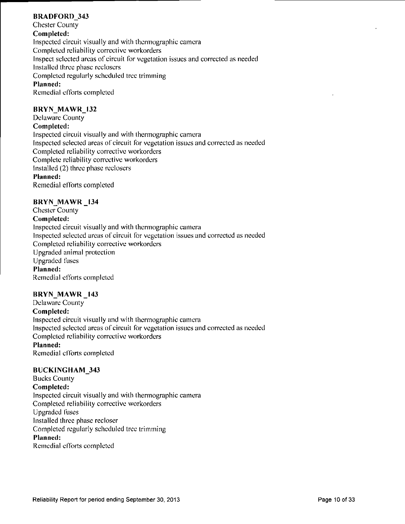#### BRADFORD 343

**Chester County Completed:**  Inspected circuit visually and with thermographic camera Completed reliability corrective workorders Inspect selected areas of circuit for vegetation issues and corrected as needed Installed three phase reclosers Completed regularly scheduled tree trimming Planned: Remedial efforts completed

#### **BRYN\_MAWK\_I32**

**Delaware County Completed:**  Inspected circuil visually and wilh thermographic camera Inspected selected areas of circuit for vegetation issues and corrected as needed Completed reliability corrective workordcrs Complete reliability corrective workordcrs Installed (2) three phase reclosers **Planned:**  Remedial efforts completed

#### **BRYN MAWR 134**

**Chester County Completed:**  Inspected circuit visually and with thermographic camera Inspected selected areas of circuit for vegetalion issues and corrected as needed Completed reliability corrective workordcrs Upgraded animal protection Upgraded fuses **Planned:**  Remedial efforts completed

#### **BRYN MAWR 143**

**Delaware County Completed:**  Inspected circuit visually and with thermographic camera Inspected selected areas of circuit for vegetation issues and corrected as needed Completed reliability corrective workordcrs **Planned:**  Remedial efforts completed

#### **BUCKINGHAM\_343**

**Bucks County Completed:**  Inspected circuit visually and with thermographic camera Completed reliability corrective workorders Upgraded fuses Installed three phase recloser Completed regularly scheduled tree trimming **Planned:**  Remedial efforts completed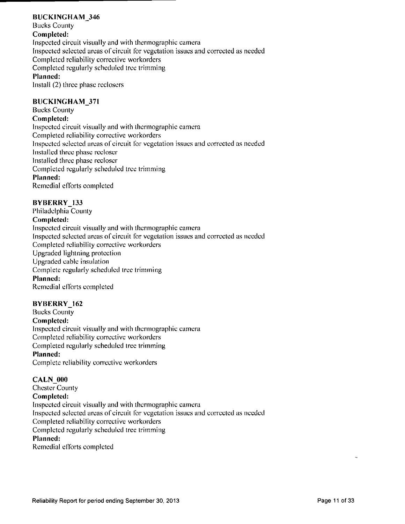#### **BUCKINGHAM 346**

**Bucks County Completed:**  Inspected circuit visually and with thermographic camera Inspected selected areas of circuit for vegetation issues and corrected as needed Completed reliability corrective workordcrs Completed regularly scheduled tree trimming **Planned:**  Install (2) three phase reclosers

#### **BUCK]NGHAM\_371**

**Bucks County Completed:**  Inspected circuit visually and with thermographic camera Completed reliability corrective workorders Inspected selected areas of circuit for vegetation issues and corrected as needed Installed three phase recloser Installed three phase recloser Completed regularly scheduled tree trimming **Planned:**  Remedial efforts completed

#### **BYBERRY\_133**

**Philadelphia County Completed:**  Inspected circuit visually and with thermographic camera Inspected selected areas of circuit for vegetation issues and corrected as needed Completed reliability corrective workorders Upgraded lightning protection Upgraded cable insulation Complete regularly scheduled tree trimming **Planned:**  Remedial efforts completed

#### **BYBERRY** 162

**Bucks Counly Completed: Inspected circuil visually and with thermographic camera Completed reliabilily correclive workordcrs Completed regularly scheduled tree trimming Planned:**  Complete reliability corrective workorders

#### **CALN** 000

**Chester County Completed:**  Inspected circuit visually and with thermographic camera Inspected selected areas of circuit for vegetation issues and corrected as needed Completed reliability corrective workorders Completed regularly scheduled tree trimming **Planned:**  Remedial efforts completed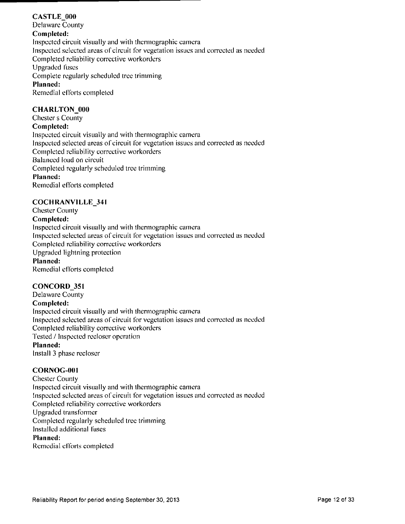#### **CASTLE 000 Delaware County Completed:**  Inspected circuit visually and with thermographic camera Inspected selected areas of circuit for vegetation issues and corrected as needed Completed reliability corrective workordcrs Upgraded fuses **Complete regularly scheduled tree trimming Planned:**  Remedial efforts completed

#### **CHARLTON** 000

**Chester s County Completed:**  Inspected circuit visually and with thermographic camera Inspected selected areas of circuit for vegetation issues and corrected as needed Completed reliability corrective workordcrs Balanced load on circuit Completed regularly scheduled tree trimming **Planned:**  Remedial efforts completed

#### **COCHRANVILLE\_34l**

**Chester County Completed:**  Inspected circuil visually and with thermographic camera Inspected selected areas of circuit for vegetation issues and corrected as needed Completed reliability corrective workordcrs Upgraded lightning protection **Planned:**  Remedial ef forts completed

#### **CONCORI)\_351**

**Delaware County Completed:**  Inspected circuit visually and with ihermographic camera Inspected selected areas of circuit for vegetation issues and corrected as needed Completed reliability corrective workorders Tested / Inspected recloser operation **Planned:**  Install 3 phase recloser

#### **CORNOG-001**

Chester County Inspected circuit visually and with thermographic camera Inspected selected areas of circuit for vegetation issues and corrected as needed Completed reliability corrective workorders Upgraded transformer Compleled regularly scheduled tree trimming Installed additional fuses **Planned:**  Remedial efforts completed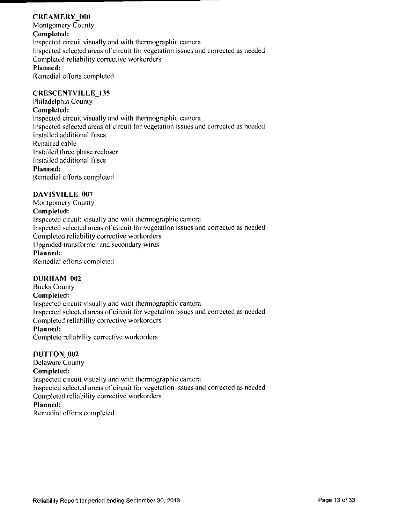#### **CREAMERY 000**

**Montgomery County Completed:**  Inspected circuil visually and with thermographic camera Inspected selected areas of circuit for vegetation issues and corrected as needed Completed reliability corrective workordcrs Planned: Remedial efforts completed

#### **CRESCENTVILLE 135**

**Philadelphia County** 

#### **Completed:**

Inspected circuit visually and with thermographic camera Inspected selected areas of circuit for vegetation issues and corrected as needed installed additional fuses Repaired cable Installed three phase recloser Installed additional fuses **Planned:**  Remedial efforts completed

#### **l)AVISVILLE\_007**

**Montgomery County Completed:**  Inspected circuit visually and with thermographic camera Inspected selected areas of circuil for vegetation issues and corrected as needed Completed reliability corrective workordcrs Upgraded transformer and secondary wires **Planned:**  Remedial efforts completed

#### **DURHAM\_002**

**Bucks County Completed:**  Inspected circuit visually and with thermographic camera Inspected selected areas of circuit for vegetation issues and corrected as needed Completed reliability corrective workordcrs Planned: Complete reliability corrective workordcrs

#### **DUTTON** 002

**Delaware Counly Completed:**  Inspected circuit visually and with thermographic camera Inspected selected areas of circuit for vegetation issues and corrected as needed Completed reliability corrective workordcrs Planned:

Remedial efforts completed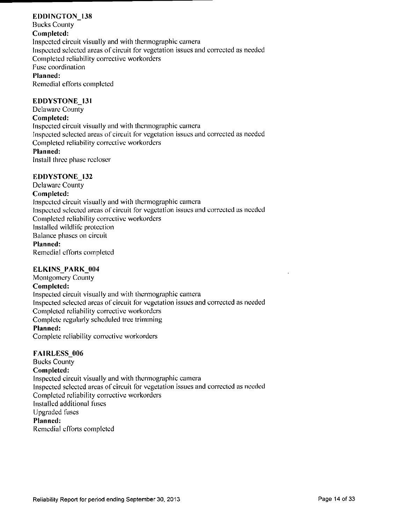#### **EDDINGTON 138**

**Bucks Counly Completed:**  Inspected circuit visually and with thermographic camera Inspected selected areas of circuit for vegetation issues and corrected as needed Completed reliability corrective workorders Fuse coordination Planned: Remedial efforts completed

#### **EDDYSTONE 131**

**Delaware County** 

#### **Completed:**

Inspected circuil visually and with thermographic camera Inspected selected areas of circuit for vegetation issues and corrected as needed Completed reliability corrective workorders **Planned:** 

Install three phase recloser

#### **EDDYSTONE 132**

**Delaware County Completed:**  Inspected circuit visually and with thermographic camera Inspected selected areas of circuit for vegetation issues and corrected as needed Completed reliability corrective workorders Installed wildlife protection Balance phases on circuit Planned: Remedial efforts completed

#### **ELKINS\_PARK\_004**

**Montgomery County Completed:**  Inspected circuit visually and wilh thermographic camera Inspected selected areas of circuit for vegetation issues and corrected as needed Completed reliability corrective workorders Complete regularly scheduled tree trimming **Planned:**  Complete reliability corrective workorders

#### **FAIRLESS\_006**

**Bucks County Completed:**  Inspected circuit visually and with thermographic camera Inspected selected areas of circuit for vegetation issues and corrected as needed Completed reliability corrective workorders Installed additional fuses Upgraded fuses **Planned:**  Remedial efforts completed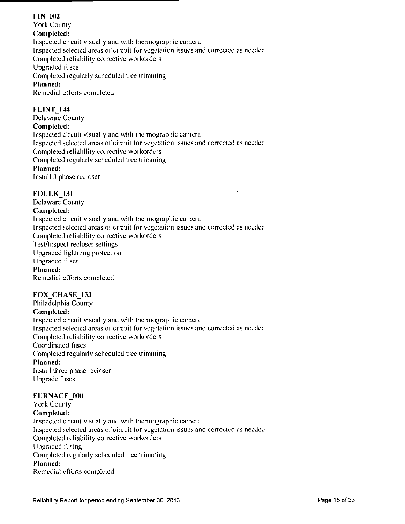#### **FIN\_0«2**  York County Completed: Inspected circuit visually and with Ihermographic camera Inspected selected areas of circuit for vegetation issues and corrected as needed Completed reliability corrective workordcrs Upgraded fuses **Completed regularly scheduled tree trimming Planned:**  Remedial efforts completed

#### **FLINT 144**

**Delaware County Completed:**  Inspected circuil visually and with thermographic camera Inspected selected areas of circuit for vegetation issues and corrected as needed Completed reliability corrective workordcrs Completed regularly scheduled tree trimming **Planned:**  Install 3 phase recloser

#### **FOULK\_l31**

**Delaware Counly Completed:**  Inspected circuit visually and with thermographic camera Inspected selected areas of circuit for vegetation issues and corrected as needed Compleled reliability corrective workordcrs Test/Inspect recloser settings Upgraded lightning protection Upgraded fuses Planned: Remedial efforts completed

#### **FOX CHASE 133**

**Philadelphia County Completed:**  Inspected circuit visually and with ihermographic camera Inspected selected areas of circuit for vegetation issues and corrected as needed Completed reliability corrective workordcrs Coordinated fuses **Completed regularly scheduled tree trimming Planned:**  Install three phase recloser Upgrade fuses

#### **FURNACE 000**

**York County Completed:**  Inspected circuit visually and wilh thermographic camera Inspected selected areas of circuit for vegetation issues and corrected as needed Completed reliability corrective workorders Upgraded fusing **Completed regularly scheduled tree trimming Planned:**  Remedial efforts completed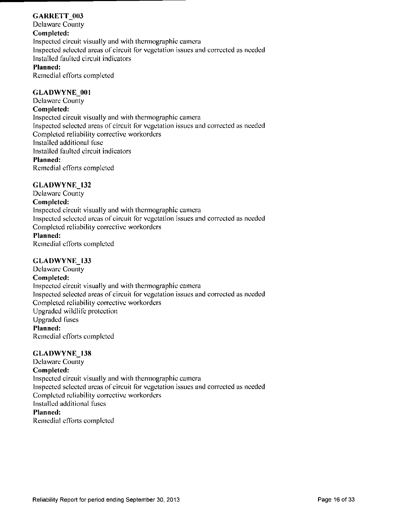#### **GARRETT\_003**

**Delaware County Completed:**  Inspected circuit visually and with thermographic camera Inspected selected areas of circuit for vegetation issues and corrected as needed Installed faulted circuit indicators **Planned:** 

Remedial efforts completed

#### GLADWYNE 001

**Delaware County Completed:**  Inspected circuit visually and with ihermographic camera Inspected selected areas oi'circuit for vegetation issues and corrected as needed Completed reliability corrective workorders Installed additional fuse Installed faulted circuit indicators **Planned:**  Remedial efforts completed

#### GLADWYNE\_132

**Delaware County Completed:**  Inspected circuit visually and with thermographic camera Inspected selected areas of circuit for vegetation issues and corrected as needed Completed reliability corrective workorders Planned: Remedial efforts completed

#### **GLADWYNE 133**

**Delaware County Completed:**  Inspected circuit visually and with thermographic camera Inspected selected areas of circuit for vegetation issues and corrected as needed Completed reliability corrective workordcrs Upgraded wildlife protection Upgraded fuses **Planned:**  Remedial efforts completed

#### GLADWYNE\_138

**Delaware County Completed:**  Inspected circuit visually and with thermographic camera Inspected selected areas of circuit for vegetation issues and corrected as needed Completed reliability corrective workorders Installed additional fuses Planned: Remedial efforts completed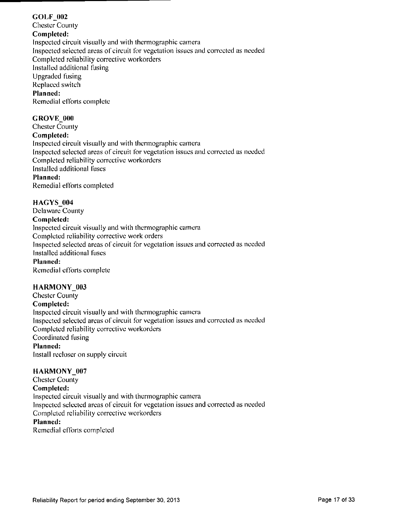#### **GOLF\_002**

**Chester County Completed:**  Inspected circuil visually and with Ihermographic camera Inspected selected areas of circuit for vegetation issues and corrected as needed Completed reliability corrective workorders Installed additional fusing Upgraded fusing Replaced switch Planned: Remedial efforts complete

#### **GROVE** 000

**Chester County Completed:**  Inspected circuil visually and with ihermographic camera Inspected selected areas of circuit for vegetation issues and corrected as needed Completed reliability corrective workorders Installed additional fuses **Planned:**  Remedial efforts completed

#### **HAGYS** 004

**Delaware County Completed:**  Inspected circuit visually and with thermographic camera Completed reliability corrective work orders Inspected selected areas of circuit for vegetation issues and corrected as needed Installed additional fuses **Planned:**  Remedial efforts complete

#### **HARMONY 003**

**Chester Counly Completed:**  Inspected circuil visually and with thermographic camera Inspected selected areas of circuit for vegetation issues and corrected as needed Completed reliability corrective workorders Coordinated fusing **Planned:**  Install recloser on supply circuit

#### HARMONY 007

**Chester County Completed:**  Inspected circuit visually and with ihermographic camera Inspected selected areas of circuit for vegetation issues and corrected as needed Completed reliability corrective workorders **Planned:**  Remedial efforts completed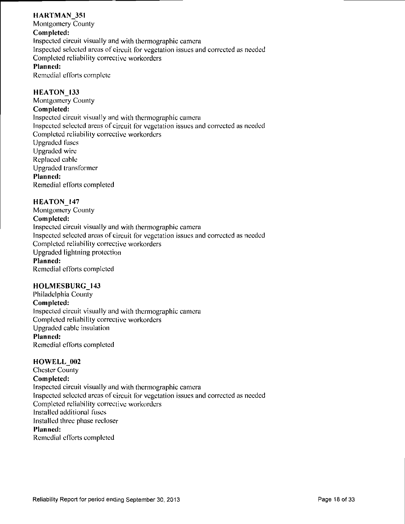#### HARTMAN 351

Montgomery County Completed: Inspected circuit visually and with thermographic camera Inspected selected areas of circuit for vegetation issues and corrected as needed Completed reliability corrective workorders Planned: Remedial efforts complete

#### HEATON\_133

Montgomery County Completed: Inspected circuit visually and wilh thermographic camera Inspected selected areas of circuit for vegetation issues and corrected as needed Completed reliability corrective workorders Upgraded fuses Upgraded wire Replaced cable Upgraded transformer Planned: Remedial efforts completed

#### HEATON\_147

Montgomery County Completed: Inspected circuit visually and wilh thermographic camera Inspected selected areas of circuit for vegetation issues and corrected as needed Completed reliability corrective workorders Upgraded lightning protection Planned: Remedial efforts completed

#### HOLMESBURG 143

Philadelphia County Completed: Inspected circuil visually and with thermographic camera Compleled reliability corrective workorders Upgraded cable insulation Planned: Remedial efforts completed

#### HOWELL 002

Chester County Completed: Inspected circuit visually and wilh thermographic camera Inspected selected areas of circuil for vegetation issues and corrected as needed Compleled reliability corrective workorders Installed addilional fuses Installed three phase recloser Planned: Remedial efforts completed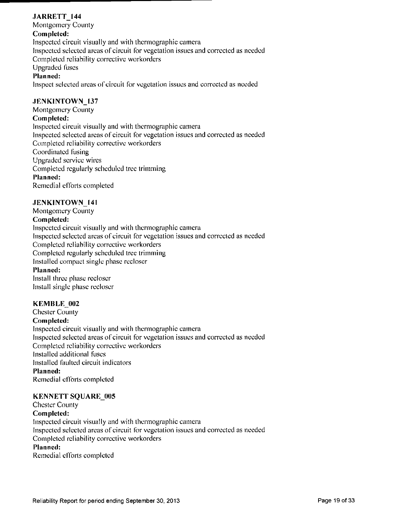#### *JARRETT* 144

**Montgomery County Completed:**  Inspected circuit visually and with thermographic camera Inspected selected areas of circuil for vegetation issues and corrected as needed Completed reliability corrective workorders Upgraded fuses Planned:

Inspect selected areas of circuit for vegetation issues and corrected as needed

#### **JENKINTOWN 137**

**Montgomery County Completed:**  Inspected circuit visually and with thermographic camera Inspected selected areas of circuit for vegetation issues and corrected as needed Completed reliability corrective workorders Coordinated fusing Upgraded service wires Completed regularly scheduled tree trimming **Planned:**  Remedial efforts completed

#### **.IENKINTOWN\_141**

**Montgomery County Completed:**  Inspected circuit visually and with thermographic camera Inspected selected areas of circuit for vegetation issues and corrected as needed Completed reliability corrective workorders Compleled regularly scheduled tree trimming Installed compact single phase recloser **Planned:**  Install three phase recloser Install single phase recloser

#### **KEMBLE** 002

**Chester County Completed:**  Inspected circuit visually and with thermographic camera Inspected selected areas of circuit for vegetation issues and corrected as needed Completed reliability corrective workorders Installed additional fuses Installed faulted circuit indicators **Planned:**  Remedial efforts completed

#### **KENNETT SQUARE 005**

**Chester County Completed:**  Inspected circuit visually and with Ihermographic camera Inspected selected areas of circuit for vegetation issues and corrected as needed Completed reliability corrective workorders **Planned:**  Remedial efforts completed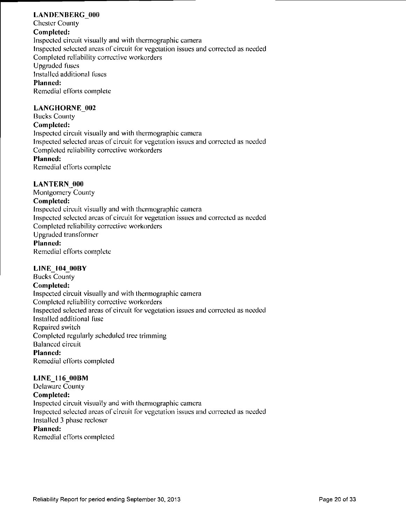#### LANDENBERG 000

**Chester County Completed:**  inspected circuit visually and with thermographic camera Inspected selected areas of circuit for vegetation issues and corrected as needed Completed reliability corrective workorders Upgraded fuses Installed additional fuses **Planned:**  Remedial efforts complete

#### **LANGHORNE 002**

**Bucks County Completed:**  Inspected circuit visually and with ihermographic camera Inspected selected areas of circuit for vegetation issues and corrected as needed Completed reliability corrective workorders **Planned:** 

Remedial efforts complete

#### **LANTERN** 000

**Monlgomery County Completed:**  Inspected circuit visually and with thermographic camera Inspected selected areas of circuit for vegetation issues and corrected as needed Completed reliability corrective workorders Upgraded transformer Planned: Remedial efforts complete

#### **LINE 104 00BY**

**Bucks County Completed:**  Inspected circuit visually and with thermographic camera Compleled reliability corrective workorders Inspected selected areas of circuit for vegetation issues and corrected as needed Installed additional fuse Repaired switch Completed regularly scheduled tree trimming Balanced circuil Planned: Remedial efforts completed

#### **LINE\_116\_00BM**

**Delaware Counly Completed:**  Inspected circuit visually and with thermographic camera Inspected selected areas of circuit for vegetation issues and corrected as needed Installed 3 phase recloser **Planned:** 

Remedial efforts completed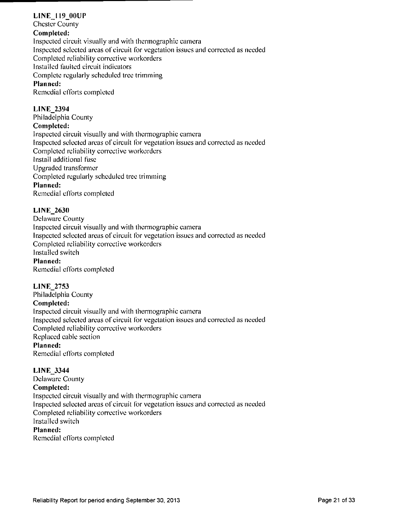#### **LINE 119 00UP**

**Chester County** 

#### **Completed:**

Inspected circuit visually and with thermographic camera Inspected selected areas of circuit for vegetation issues and corrected as needed Completed reliability corrective workordcrs Installed faulted circuit indicators Complete regularly scheduled tree trimming **Planned:**  Remedial efforts completed

#### **LINE\_2394**

**Philadelphia County Completed:**  Inspected circuit visually and with thermographic camera Inspected selected areas of circuit for vegetation issues and corrected as needed Completed reliability corrective workordcrs Install additional fuse Upgraded transformer **Completed regularly scheduled tree trimming Planned:**  Remedial efforts compleled

#### **LINE\_2630**

Delaware County Inspected circuit visually and with thermographic camera Inspected selected areas of circuit for vegetation issues and corrected as needed Completed reliability corrective workorders Installed switch Planned: Remedial efforts compleled

#### **L1NE\_2753**

**Philadelphia County Completed:**  Inspected circuit visually and with thermographic camera Inspected selected areas of circuit for vegetation issues and corrected as needed Completed reliability corrective workorders Replaced cable section Planned: Remedial efforts completed

#### **LINE\_3344**

**Delaware County Completed:**  Inspected circuit visually and with thermographic camera Inspected selected areas of circuit for vegetation issues and corrected as needed Completed reliability corrective workorders Installed switch Planned: Remedial efforts completed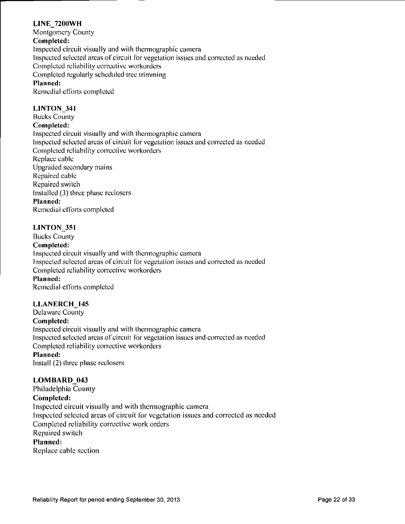#### **L[NE\_72()0WH Monlgomery County Completed:**  Inspected circuil visually and with thermographic camera Inspected selected areas of circuit for vegetation issues and corrected as needed Completed reliability corrective workorders Completed regularly scheduled Irec trimming Planned: Remedial efforts completed

#### **LINTON\_34l**

**Bucks County** 

#### **Completed:**

Inspected circuil visually and with thermographic camera Inspected selected areas of circuit for vegetation issues and corrected as needed Completed reliability corrective workordcrs Replace cable Upgraded secondary mains Repaired cable Repaired switch **Installed (3) three phase reclosers Planned:**  Remedial efforts completed

#### **LINTON\_35i**

**Bucks Counly** 

#### **Completed:**

Inspected circuil visually and with ihermographic camera Inspected selected areas of circuil for vegetalion issties and corrected as needed Completed reliability corrective workorders **Planned:**  Remedial efforts completed

**LLANERCH 145 Delaware County Completed:**  Inspected circuil visually and with Ihermographic camera Inspected selected areas of circuit for vegetation issues and corrected as needed Compleled reliability corrective workorders

#### **Planned:**

Install (2) three phase reclosers

#### LOMBARD 043

**Philadelphia County Completed:**  Inspected circuit visually and with thermographic camera Inspected selected areas of circuit for vegetation issues and corrected as needed Completed reliability corrective work orders Repaired switch Planned:

Replace cable section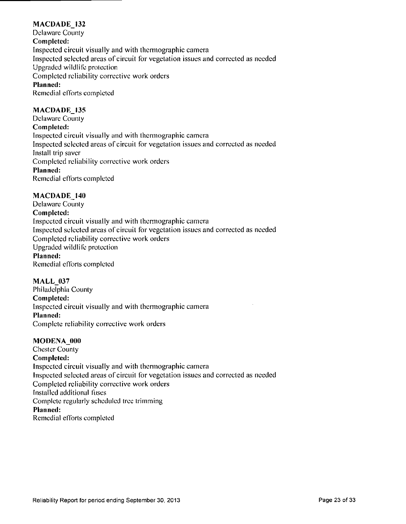#### **MACDADE** 132

**Delaware County Completed:**  Inspected circuil visually and with thermographic camera Inspected selected areas of circuit for vegetation issues and corrected as needed Upgraded wildlife protection Completed reliability corrective work orders **Planned:**  Remedial efforts completed

#### **MACDADE 135**

**Delaware County Completed:**  Inspected circuit visually and with thermographic camera Inspected selected areas of circuit for vegetation issues and corrected as needed Install trip saver **Completed reliabilily corrective work orders Planned:**  Remedial efforts completed

#### **MACDADE 140**

**Delaware County Completed:**  Inspected circuit visually and wilh thermographic camera Inspected selected areas of circuit for vegetation issues and corrected as needed Completed reliability corrective work orders Upgraded wildlife protection **Planned:**  Remedial efforts completed

#### **MALL\_037**

**Philadelphia County Completed: Inspected circuit visually and wilh Ihermographic camera Planned:**  Complete reliability corrective work orders

#### **MODENA** 000

**Chester County Completed:**  Inspected circuit visually and with thermographic camera Inspected selected areas of circuit for vegetation issues and corrected as needed Compleled reliability corrective work orders Installed additional fuses Complete regularly scheduled tree trimming **Planned:**  Remedial efforts completed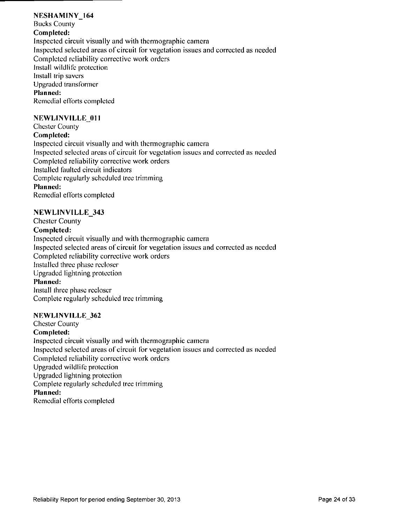#### **NESHAMINY\_164**

**Bucks Counly Completed:**  Inspected circuit visually and wilh thermographic camera Inspected selected areas of circuit for vegetation issues and corrected as needed Completed reliability corrective work orders Install wildlife protection Inslall trip savers Upgraded transformer **Planned:**  Remedial efforts completed

#### **NEWLINVILLE** 011

**Chester County Completed:**  Inspected circuit visually and with thermographic camera Inspected selected areas of circuit for vegetation issues and corrected as needed Completed reliability corrective work orders Installed faulted circuit indicators Complete regularly scheduled tree trimming **Planned:**  Remedial efforts completed

#### **NEWL1NVILLE\_343**

**Chester County Completed:**  Inspected circuit visually and with thermographic camera Inspected selected areas of circuit for vegetation issues and corrected as needed Completed reliability corrective work orders Installed three phase recloser Upgraded lightning protection **Planned:**  Install three phase recloser Complete regularly scheduled tree trimming

#### **NEWLINVILLE\_362**

**Chester County Completed:**  Inspected circuit visually and with thermographic camera Inspected selected areas of circuit for vegetation issues and corrected as needed Completed reliability corrective work orders Upgraded wildlife protection Upgraded lightning protection Complete regularly scheduled tree trimming **Planned:**  Remedial efforts completed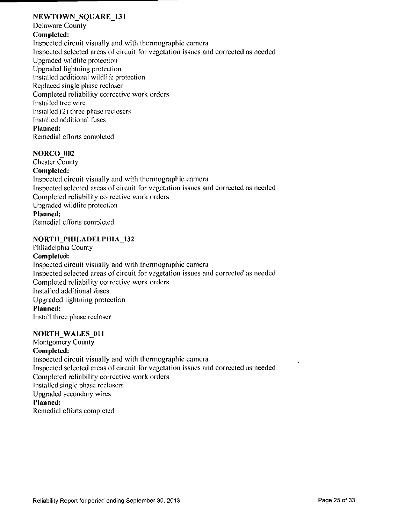#### **NFJWTOWN\_SQUARE\_131**

**Delaware Counly** 

#### **Completed:**

Inspected circuit visually and wilh thermographic camera Inspected selected areas of circuit for vegetation issues and corrected as needed Upgraded wildlife protection Upgraded lightning protection Installed additional wildlife protection Replaced single phase recloser Completed reliability corrective work orders Installed tree wire Installed (2) three phase reclosers Installed additional fuses **Planned:**  Remedial efforts compleled

#### **NORCO\_002**

**Chester County Completed:**  Inspected circuit visually and with thermographic camera Inspected selected areas of circuit for vegetation issues and corrected as needed Compleled reliability corrective work orders Upgraded wildlife protection **Planned:**  Remedial efforts completed

#### **NORTH\_PHILADELPHIA\_132**

### **Philadelphia County**

**Completed:**  Inspected circuit visually and with thermographic camera Inspected selected areas of circuit for vegetation issues and corrected as needed Compleled reliability corrective work orders Installed addilional fuses Upgraded lightning protection **Planned:**  Install three phase recloser

#### **NORTH\_WALES\_011**

**Montgomery County Completed:**  Inspected circuil visually and with thermographic camera Inspected selected areas of circuit for vegetation issues and corrected as needed Completed reliability corrective work orders Installed single phase reclosers Upgraded secondary wires **Planned:**  Remedial efforts completed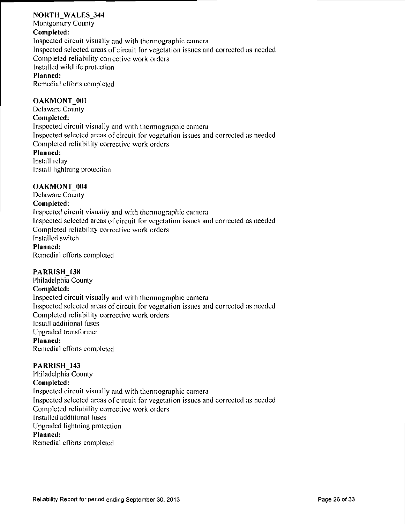#### **NOKTH\_WALES\_344**

**Montgomery County** 

#### **Completed:**

Inspected circuit visually and with Ihermographic camera Inspected selected areas of circuit for vegetation issues and corrected as needed Completed reliability corrective work orders Installed wildlife protection **Planned:**  Remedial efforts completed

#### **OAKMONT\_001**

**Delaware Counly** 

#### **Completed:**

Inspected circuit visually and with thermographic camera Inspected selected areas of circuit for vegetation issues and corrected as needed Compleled reliability corrective work orders **Planned:**  Install relay

Install lightning protection

#### **OAKMONT** 004

**Delaware County Completed:**  Inspected circuit visually and with thermographic camera Inspected selected areas of circuit for vegetation issues and corrected as needed Completed reliability corrective work orders Installed switch **Planned:**  Remedial efforts completed

#### **PARRISH 138**

**Philadelphia County Completed:**  Inspected circuit visually and with thermographic camera Inspected selected areas of circuit for vegetation issues and corrected as needed Completed reliability corrective work orders Install addilional fuses Upgraded transformer **Planned:**  Remedial efforts completed

#### **PARRISH\_143**

**Philadelphia Counly Completed:**  Inspected circuit visually and with thermographic camera Inspected selected areas of circuit for vegetation issues and corrected as needed Compleled reliability corrective work orders Installed additional fuses Upgraded lightning protection **Planned:**  Remedial efforts completed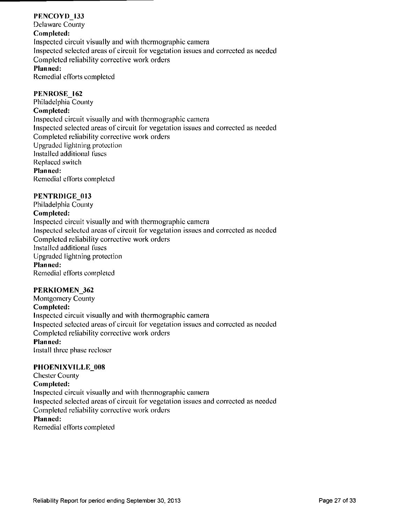#### **PENCOYD 133**

**Delaware County Completed:**  Inspected circuit visually and with thermographic camera Inspected selected areas of circuit for vegetation issues and corrected as needed Completed reliability corrective work orders **Planned:** 

Remedial efforts completed

#### **PENROSE 162**

**Philadelphia County Completed:**  Inspected circuit visually and with thermographic camera Inspected selected areas of circuit for vegetation issues and corrected as needed Completed reliability corrective work orders Upgraded lightning protection Installed additional fuses Replaced switch **Planned:**  Remedial efforts compleled

#### **PENTRDIGE\_0I3**

**Philadelphia County Completed:**  Inspected circuit visually and with thermographic camera Inspected selected areas of circuit for vegetation issues and corrected as needed Completed reliability corrective work orders Installed additional fuses Upgraded lightning protection **Planned:**  Remedial efforts completed

#### **PERKIOMEN\_362**

**Montgomery County Completed:**  Inspected circuit visually and with Ihermographic camera Inspected selected areas of circuit for vegetation issues and corrected as needed Completed reliability corrective work orders Planned:

Install three phase recloser

#### **PHOENIXVILLE\_008**

**Chester County Completed:**  Inspected circuit visually and with thermographic camera Inspected selected areas of circuit for vegetation issues and corrected as needed Completed reliability corrective work orders **Planned:**  Remedial efforts completed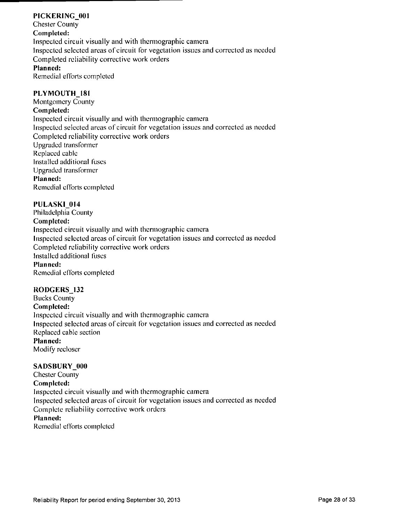#### **PICKERING 001**

**Chester Counly Completed:**  Inspected circuit visually and with thermographic camera Inspected selected areas of circuit for vegetation issues and corrected as needed Completed reliability corrective work orders **Planned:**  Remedial efforts completed

#### PLYMOUTH 181

**Montgomery County Completed:**  Inspected circuit visually and wilh thermographic camera Inspected selected areas of circuit for vegetation issues and corrected as needed Completed reliability corrective work orders Upgraded transformer Replaced cable Installed additional fuses Upgraded transformer **Planned:**  Remedial efforts completed

#### **PULASKI\_014**

**Philadelphia County Completed:**  Inspected circuit visually and with thermographic camera Inspected selected areas of circuit for vegetation issues and corrected as needed Completed reliability corrective work orders Installed additional fuses Planned: Remedial efforts compleled

#### **RODGERS** 132

**Bucks County Completed:**  Inspected circuit visually and wilh Ihermographic camera Inspected selected areas of circuit for vegetation issues and corrected as needed Replaced cable section **Planned:**  Modify recloser

#### **SADSBURY 000**

**Chester Counly Completed:**  Inspected circuil visually and with thermographic camera Inspected selected areas of circuit for vegetation issues and corrected as needed Complete reliability corrective work orders Planned: Remedial efforts compleled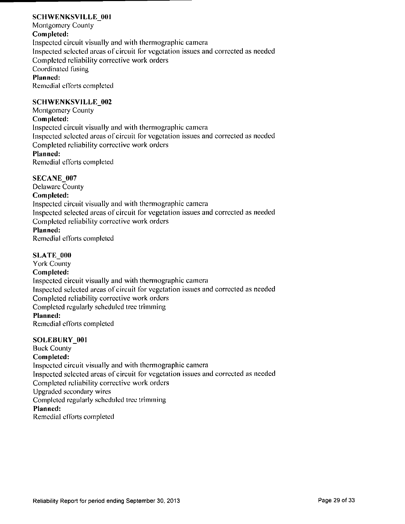#### **SCHWENKSVILLE 001**

Montgomery Counly Completed: Inspected circuit visually and with thermographic camera Inspected selected areas of circuit for vegetation issues and corrected as needed Completed reliability corrective work orders Coordinated fusing Planned: Remedial efforts completed

#### **SCHWENKSVILLE\_002**

Montgomery County Completed: Inspected circuit visually and with thermographic camera Inspected selected areas of circuit for vegetation issues and corrected as needed Completed reliability corrective work orders Planned: Remedial efforts completed

#### **SECANE\_007**

**Delaware County Completed:**  Inspected circuit visually and with thermographic camera Inspected selected areas of circuit for vegetation issues and corrected as needed Completed reliability corrective work orders **Planned:**  Remedial efforts completed

#### SLATE 000

York County Completed: Inspected circuit visually and with thermographic camera Inspected selected areas of circuit for vegetation issues and corrected as needed Completed reliability corrective work orders Compleled regularly scheduled tree trimming **Planned:**  Remedial efforts completed

#### SOLEBURY 001

Buck Counly Completed: Inspected circuil visually and with thermographic camera Inspected selected areas of circuit for vegetation issues and corrected as needed Completed reliability corrective work orders Upgraded secondary wires Completed regularly scheduled tree trimming **Planned:**  Remedial efforts completed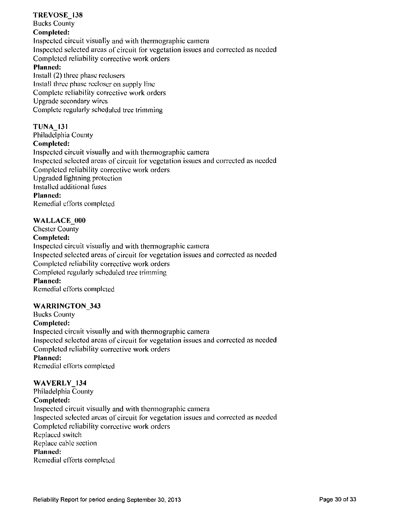#### **TREVOSE 138 Bucks County Completed:**  Inspected circuit visually and with Ihermographic camera Inspected selected areas of circuit for vegetation issues and corrected as needed Completed reliability corrective work orders **Planned:**  Install (2) three phase reclosers Install three phase recloser on supply line Complete reliability corrective work orders Upgrade secondary wires

Complete regularly scheduled tree trimming

#### **TUNA 131**

**Philadelphia County Completed:**  Inspected circuit visually and with thermographic camera Inspected selected areas of circuit for vegetation issues and corrected as needed Completed reliability corrective work orders Upgraded lightning protection Installed additional fuses **Planned:**  Remedial efforts completed

#### **WALLACE 000**

**Chester County Completed:**  Inspected circuit visually and with thermographic camera Inspected selected areas of circuit for vegetation issues and corrected as needed Completed reliability corrective work orders Completed regularly scheduled tree trimming **Planned:**  Remedial efforts completed

#### **WARRINGTON\_343**

**Bucks County Completed:**  Inspected circuit visually and with thermographic camera Inspected selected areas of circuit for vegetation issues and corrected as needed Compleled reliability corrective work orders **Planned:**  Remedial efforts completed

#### **WAVERLY\_134**

**Philadelphia Counly Completed:**  Inspected circuit visually and with thermographic camera Inspected selected areas of circuit for vegetation issues and corrected as needed Completed reliability corrective work orders Replaced switch Replace cable section **Planned:**  Remedial efforts completed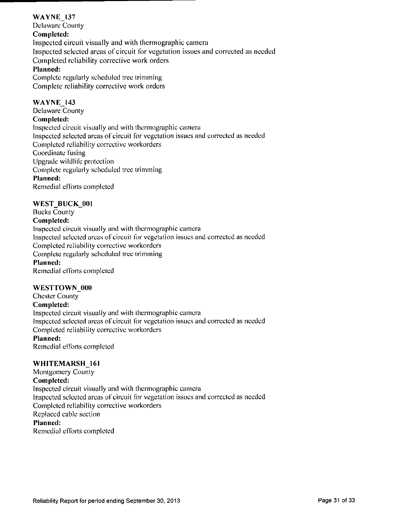#### **WAYNE 137**

**Delaware County Completed:**  Inspected circuit visually and with thermographic camera Inspected selected areas of circuit for vegetation issues and corrected as needed Completed reliability corrective work orders **Planned:** 

Complete regularly scheduled tree trimming Complete reliability corrective work orders

#### **WAYNE\_143**

**Delaware County Completed:**  Inspected circuit visually and with thermographic camera Inspected selected areas of circuit for vegetation issues and corrected as needed Completed reliability corrective workorders Coordinate fusing Upgrade wildlife protection Complete regularly scheduled tree trimming **Planned:**  Remedial efforts completed

#### **WEST\_BUCK\_001**

**Bucks County Completed:**  Inspected circuit visually and with ihermographic camera Inspected selected areas of circuit for vegetation issues and corrected as needed Completed reliability corrective workordcrs Complete regularly scheduled tree trimming **Planned:**  Remedial efforts completed

#### **WESTTOWN 000**

**Chester County Completed:**  Inspected circuit visually and with thermographic camera Inspected selected areas of circuit for vegetation issues and corrected as needed Completed reliability corrective workorders **Planned:**  Remedial efforts completed

#### **WHITEMARSH 161**

**Montgomery County Completed:**  Inspected circuil visually and with thermographic camera Inspected selected areas of circuit for vegetation issues and corrected as needed Compleled reliability corrective workorders Replaced cable section **Planned:**  Remedial efforts completed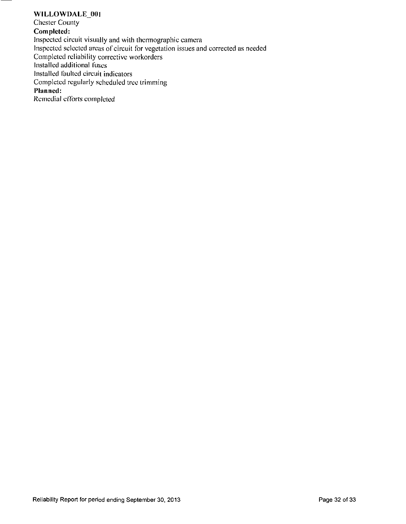#### **WILLOWDALE** 001

**Chester County Completed:**  Inspected circuit visually and wilh thermographic camera Inspected selected areas of circuit for vegetation issues and corrected as needed Completed reliability corrective workorders Installed additional fuses Installed faulted circuit indicators Completed regularly scheduled tree trimming **Planned:**  Remedial efforts completed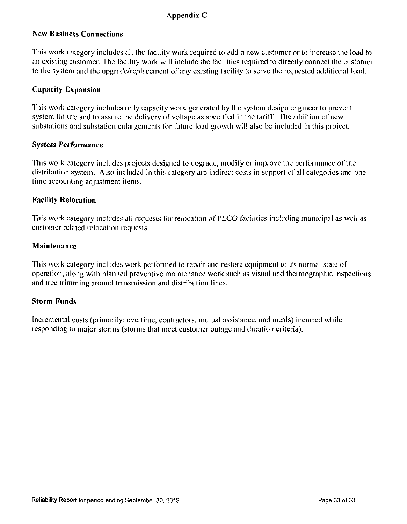#### Appendix C

#### **New Business Connections**

This work category includes all the facility work required to add a new customer or to increase the load to an existing customer. The facility work will include the facilities required to directly connect the customer to the system and the upgrade/replacement of any existing facility to serve the requested additional load.

#### **Capacity Expansion**

This work category includes only capacity work generated by the system design engineer to prevent system failure and to assure the delivery of voltage as specified in the tariff. The addition of new substations and substation enlargements for future load growth will also be included in this project.

#### **System Performance**

This work category includes projecis designed to upgrade, modify or improve the performance ofthe distribution system. Also included in this category are indirect costs in support of all categories and onetime accounting adjustment items.

#### **Facility Relocation**

This work category includes all requests for relocation of PECO facilities including municipal as well as cuslomer related relocation requests.

#### **Maintenance**

This work category includes work performed to repair and restore equipment to its normal state of operation, along with planned preventive maintenance work such as visual and thermographic inspections and tree trimming around Iransmission and distribution lines.

#### **Storm Funds**

Incremental costs (primarily; overtime, contractors, mutual assistance, and meals) incurred while responding to major storms (storms that meet customer outage and duration criteria).